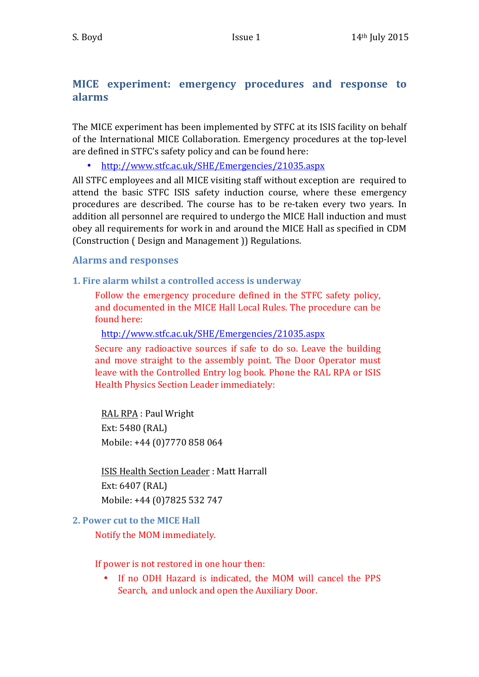## **MICE** experiment: emergency procedures and response to **alarms**

The MICE experiment has been implemented by STFC at its ISIS facility on behalf of the International MICE Collaboration. Emergency procedures at the top-level are defined in STFC's safety policy and can be found here:

• http://www.stfc.ac.uk/SHE/Emergencies/21035.aspx

All STFC employees and all MICE visiting staff without exception are required to attend the basic STFC ISIS safety induction course, where these emergency procedures are described. The course has to be re-taken every two years. In addition all personnel are required to undergo the MICE Hall induction and must obey all requirements for work in and around the MICE Hall as specified in CDM (Construction ( Design and Management )) Regulations.

## **Alarms and responses**

**1. Fire alarm whilst a controlled access is underway** 

Follow the emergency procedure defined in the STFC safety policy, and documented in the MICE Hall Local Rules. The procedure can be found here:

http://www.stfc.ac.uk/SHE/Emergencies/21035.aspx

Secure any radioactive sources if safe to do so. Leave the building and move straight to the assembly point. The Door Operator must leave with the Controlled Entry log book. Phone the RAL RPA or ISIS Health Physics Section Leader immediately:

RAL RPA : Paul Wright Ext: 5480 (RAL) Mobile: +44 (0)7770 858 064

**ISIS Health Section Leader: Matt Harrall** Ext: 6407 (RAL) Mobile: +44 (0)7825 532 747

## **2. Power cut to the MICE Hall**

Notify the MOM immediately.

If power is not restored in one hour then:

• If no ODH Hazard is indicated, the MOM will cancel the PPS Search, and unlock and open the Auxiliary Door.